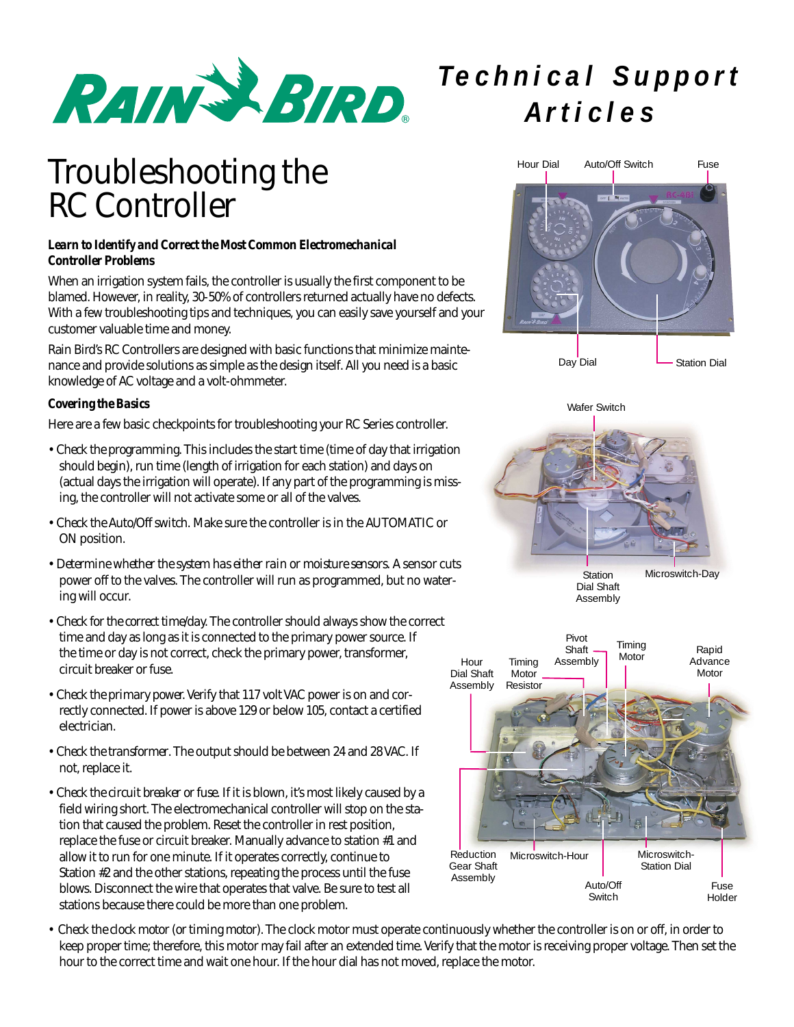

# Troubleshooting the RC Controller

### *Learn to Identify and Correct the Most Common Electromechanical Controller Problems*

When an irrigation system fails, the controller is usually the first component to be blamed. However, in reality, 30-50% of controllers returned actually have no defects. With a few troubleshooting tips and techniques, you can easily save yourself and your customer valuable time and money.

Rain Bird's RC Controllers are designed with basic functions that minimize maintenance and provide solutions as simple as the design itself. All you need is a basic knowledge of AC voltage and a volt-ohmmeter.

#### *Covering the Basics*

Here are a few basic checkpoints for troubleshooting your RC Series controller.

- *Check the programming*. This includes the start time (time of day that irrigation should begin), run time (length of irrigation for each station) and days on (actual days the irrigation will operate). If any part of the programming is missing, the controller will not activate some or all of the valves.
- *Check the Auto/Off switch.* Make sure the controller is in the AUTOMATIC or ON position.
- *Determine whether the system has either rain or moisture sensors.* A sensor cuts power off to the valves. The controller will run as programmed, but no watering will occur.
- *Check for the correct time/day.* The controller should always show the correct time and day as long as it is connected to the primary power source. If the time or day is not correct, check the primary power, transformer, circuit breaker or fuse.
- *Check the primary power.*Verify that 117 volt VAC power is on and correctly connected. If power is above 129 or below 105, contact a certified electrician.
- *Check the transformer*. The output should be between 24 and 28 VAC. If not, replace it.
- *Check the circuit breaker or fuse*. If it is blown, it's most likely caused by a field wiring short. The electromechanical controller will stop on the station that caused the problem. Reset the controller in rest position, replace the fuse or circuit breaker. Manually advance to station #1 and allow it to run for one minute. If it operates correctly, continue to Station #2 and the other stations, repeating the process until the fuse blows. Disconnect the wire that operates that valve. Be sure to test all stations because there could be more than one problem.

# *Technical Support Articles*









• *Check the clock motor (or timing motor).* The clock motor must operate continuously whether the controller is on or off, in order to keep proper time; therefore, this motor may fail after an extended time. Verify that the motor is receiving proper voltage. Then set the hour to the correct time and wait one hour. If the hour dial has not moved, replace the motor.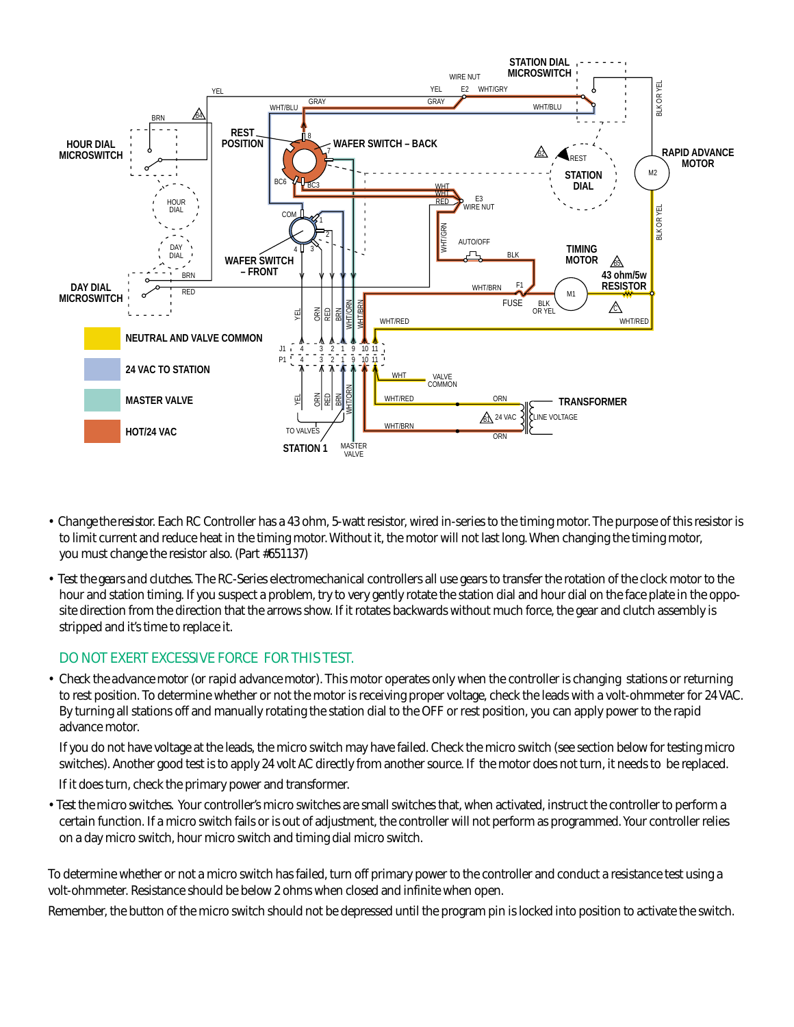

- *Change the resistor.* Each RC Controller has a 43 ohm, 5-watt resistor, wired in-series to the timing motor. The purpose of this resistor is to limit current and reduce heat in the timing motor. Without it, the motor will not last long. When changing the timing motor, you must change the resistor also. (Part #651137)
- *Test the gears and clutches.* The RC-Series electromechanical controllers all use gears to transfer the rotation of the clock motor to the hour and station timing. If you suspect a problem, try to very gently rotate the station dial and hour dial on the face plate in the opposite direction from the direction that the arrows show. If it rotates backwards without much force, the gear and clutch assembly is stripped and it's time to replace it.

### *DO NOT EXERT EXCESSIVE FORCE FOR THIS TEST.*

*• Check the advance motor (or rapid advance motor)*. This motor operates only when the controller is changing stations or returning to rest position. To determine whether or not the motor is receiving proper voltage, check the leads with a volt-ohmmeter for 24 VAC. By turning all stations off and manually rotating the station dial to the OFF or rest position, you can apply power to the rapid advance motor.

If you do not have voltage at the leads, the micro switch may have failed. Check the micro switch (see section below for testing micro switches). Another good test is to apply 24 volt AC directly from another source. If the motor does not turn, it needs to be replaced.

If it does turn, check the primary power and transformer.

*• Test the micro switches.* Your controller's micro switches are small switches that, when activated, instruct the controller to perform a certain function. If a micro switch fails or is out of adjustment, the controller will not perform as programmed. Your controller relies on a day micro switch, hour micro switch and timing dial micro switch.

To determine whether or not a micro switch has failed, turn off primary power to the controller and conduct a resistance test using a volt-ohmmeter. Resistance should be below 2 ohms when closed and infinite when open.

Remember, the button of the micro switch should not be depressed until the program pin is locked into position to activate the switch.